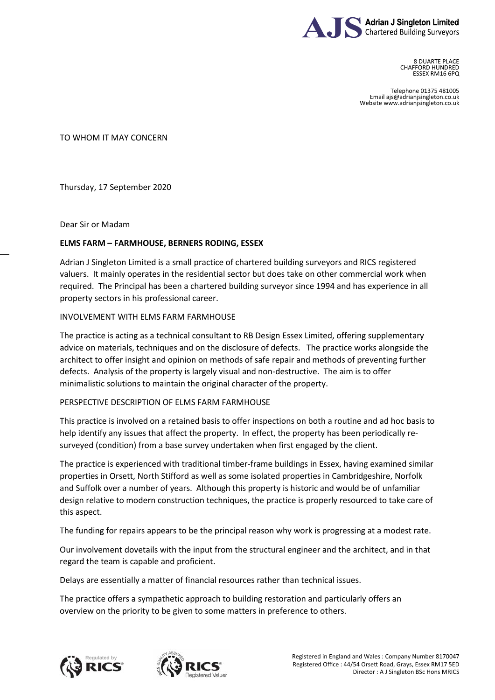

8 DUARTE PLACE CHAFFORD HUNDRED ESSEX RM16 6PQ

Telephone 01375 481005 Email ajs@adrianjsingleton.co.uk Website www.adrianjsingleton.co.uk

TO WHOM IT MAY CONCERN

Thursday, 17 September 2020

Dear Sir or Madam

## **ELMS FARM – FARMHOUSE, BERNERS RODING, ESSEX**

Adrian J Singleton Limited is a small practice of chartered building surveyors and RICS registered valuers. It mainly operates in the residential sector but does take on other commercial work when required. The Principal has been a chartered building surveyor since 1994 and has experience in all property sectors in his professional career.

## INVOLVEMENT WITH ELMS FARM FARMHOUSE

The practice is acting as a technical consultant to RB Design Essex Limited, offering supplementary advice on materials, techniques and on the disclosure of defects. The practice works alongside the architect to offer insight and opinion on methods of safe repair and methods of preventing further defects. Analysis of the property is largely visual and non-destructive. The aim is to offer minimalistic solutions to maintain the original character of the property.

## PERSPECTIVE DESCRIPTION OF ELMS FARM FARMHOUSE

This practice is involved on a retained basis to offer inspections on both a routine and ad hoc basis to help identify any issues that affect the property. In effect, the property has been periodically resurveyed (condition) from a base survey undertaken when first engaged by the client.

The practice is experienced with traditional timber-frame buildings in Essex, having examined similar properties in Orsett, North Stifford as well as some isolated properties in Cambridgeshire, Norfolk and Suffolk over a number of years. Although this property is historic and would be of unfamiliar design relative to modern construction techniques, the practice is properly resourced to take care of this aspect.

The funding for repairs appears to be the principal reason why work is progressing at a modest rate.

Our involvement dovetails with the input from the structural engineer and the architect, and in that regard the team is capable and proficient.

Delays are essentially a matter of financial resources rather than technical issues.

The practice offers a sympathetic approach to building restoration and particularly offers an overview on the priority to be given to some matters in preference to others.